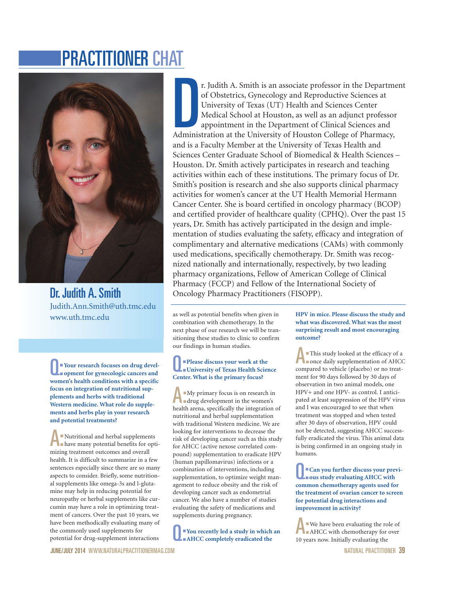# PRACTITIONER CHAT



Dr. Judith A. Smith Judith.Ann.Smith@uth.tmc.edu www.uth.tmc.edu

Q:**Your research focuses on drug devel-opment for gynecologic cancers and women's health conditions with a specific focus on integration of nutritional supplements and herbs with traditional Western medicine. What role do supplements and herbs play in your research and potential treatments?**

A:Nutritional and herbal supplements have many potential benefits for optimizing treatment outcomes and overall health. It is difficult to summarize in a few sentences especially since there are so many aspects to consider. Briefly, some nutritional supplements like omega-3s and l-glutamine may help in reducing potential for neuropathy or herbal supplements like curcumin may have a role in optimizing treatment of cancers. Over the past 10 years, we have been methodically evaluating many of the commonly used supplements for potential for drug-supplement interactions

r. Judith A. Smith is an associate professor in the Departm of Obstetrics, Gynecology and Reproductive Sciences at University of Texas (UT) Health and Sciences Center Medical School at Houston, as well as an adjunct profes r. Judith A. Smith is an associate professor in the Department of Obstetrics, Gynecology and Reproductive Sciences at University of Texas (UT) Health and Sciences Center Medical School at Houston, as well as an adjunct professor appointment in the Department of Clinical Sciences and and is a Faculty Member at the University of Texas Health and Sciences Center Graduate School of Biomedical & Health Sciences – Houston. Dr. Smith actively participates in research and teaching activities within each of these institutions. The primary focus of Dr. Smith's position is research and she also supports clinical pharmacy activities for women's cancer at the UT Health Memorial Hermann Cancer Center. She is board certified in oncology pharmacy (BCOP) and certified provider of healthcare quality (CPHQ). Over the past 15 years, Dr. Smith has actively participated in the design and implementation of studies evaluating the safety, efficacy and integration of complimentary and alternative medications (CAMs) with commonly used medications, specifically chemotherapy. Dr. Smith was recognized nationally and internationally, respectively, by two leading pharmacy organizations, Fellow of American College of Clinical Pharmacy (FCCP) and Fellow of the International Society of Oncology Pharmacy Practitioners (FISOPP).

as well as potential benefits when given in combination with chemotherapy. In the next phase of our research we will be transitioning these studies to clinic to confirm our findings in human studies.

## Q:**Please discuss your work at the University of Texas Health Science Center. What is the primary focus?**

A:My primary focus is on research in drug development in the women's health arena, specifically the integration of nutritional and herbal supplementation with traditional Western medicine. We are looking for interventions to decrease the risk of developing cancer such as this study for AHCC (active nexose correlated compound) supplementation to eradicate HPV (human papillomavirus) infections or a combination of interventions, including supplementation, to optimize weight management to reduce obesity and the risk of developing cancer such as endometrial cancer. We also have a number of studies evaluating the safety of medications and supplements during pregnancy.

Q:**You recently led a study in which an AHCC completely eradicated the**

**HPV in mice. Please discuss the study and what was discovered. What was the most surprising result and most encouraging outcome?**

This study looked at the efficacy of a<br>conce daily supplementation of AHCC compared to vehicle (placebo) or no treatment for 90 days followed by 30 days of observation in two animal models, one HPV+ and one HPV- as control. I anticipated at least suppression of the HPV virus and I was encouraged to see that when treatment was stopped and when tested after 30 days of observation, HPV could not be detected, suggesting AHCC successfully eradicated the virus. This animal data is being confirmed in an ongoing study in humans.

Q:**Can you further discuss your previ-ous study evaluating AHCC with common chemotherapy agents used for the treatment of ovarian cancer to screen for potential drug interactions and improvement in activity?**

We have been evaluating the role of AHCC with chemotherapy for over 10 years now. Initially evaluating the